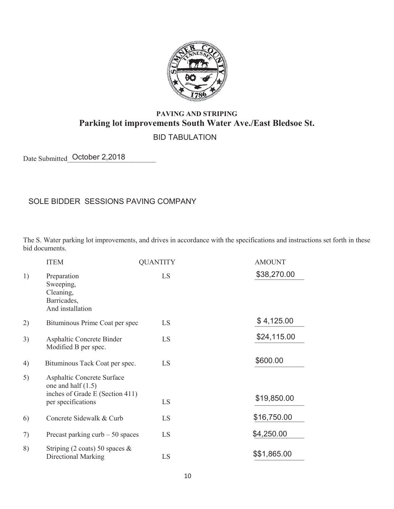

## **PAVING AND STRIPING Parking lot improvements South Water Ave./East Bledsoe St.**

## BID TABULATION

Date Submitted October 2,2018

## SOLE BIDDER SESSIONS PAVING COMPANY Of the state of the state of the state of the state of the state  $\mathcal{O}_\mathcal{A}$

The S. Water parking lot improvements, and drives in accordance with the specifications and instructions set forth in these bid documents.

|    | <b>ITEM</b>                                                                                                 | <b>QUANTITY</b> | <b>AMOUNT</b> |
|----|-------------------------------------------------------------------------------------------------------------|-----------------|---------------|
| 1) | Preparation<br>Sweeping,<br>Cleaning,<br>Barricades,<br>And installation                                    | LS              | \$38,270.00   |
| 2) | Bituminous Prime Coat per spec                                                                              | LS              | \$4,125.00    |
| 3) | Asphaltic Concrete Binder<br>Modified B per spec.                                                           | LS              | \$24,115.00   |
| 4) | Bituminous Tack Coat per spec.                                                                              | LS              | \$600.00      |
| 5) | Asphaltic Concrete Surface<br>one and half $(1.5)$<br>inches of Grade E (Section 411)<br>per specifications | LS              | \$19,850.00   |
| 6) | Concrete Sidewalk & Curb                                                                                    | LS              | \$16,750.00   |
| 7) | Precast parking curb $-50$ spaces                                                                           | LS              | \$4,250.00    |
| 8) | Striping (2 coats) 50 spaces $\&$<br><b>Directional Marking</b>                                             | LS              | \$\$1,865.00  |